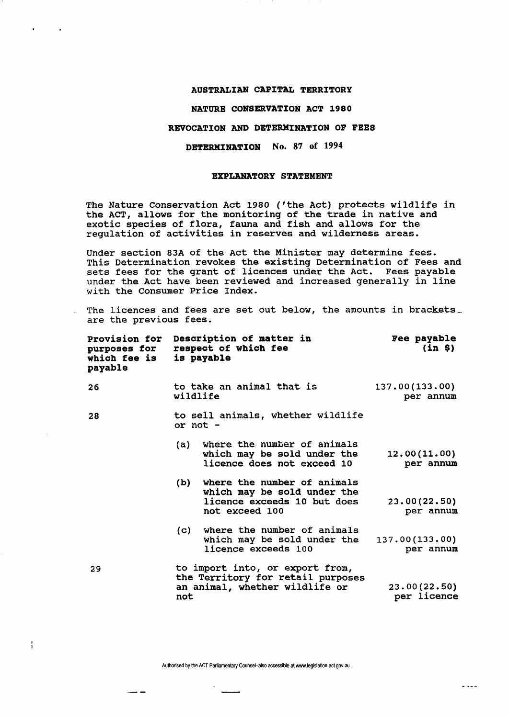# **AUSTRALIAN CAPITAL TERRITORY**

 $\sim$ 

Ŧ

 $-$ 

#### **NATURE CONSERVATION ACT 1980**

## **REVOCATION AND DETERMINATION OF FEES**

## **DETERMINATION** No. 87 of 1994

#### **EXPLANATORY STATEMENT**

The Nature Conservation Act 1980 ('the Act) protects wildlife in the ACT, allows for the monitoring of the trade in native and exotic species of flora, fauna and fish and allows for the regulation of activities in reserves and wilderness areas.

Under section 83A of the Act the Minister may determine fees. This Determination revokes the existing Determination of Fees and sets fees for the grant of licences under the Act. Fees payable under the Act have been reviewed and increased generally in line with the Consumer Price Index.

The licences and fees are set out below, the amounts in brackets. are the previous fees.

| Provision for<br>purposes for<br>which fee is<br>payable | Description of matter in<br>respect of which fee<br>is payable                                                     | Fee payable<br>(in 8)       |
|----------------------------------------------------------|--------------------------------------------------------------------------------------------------------------------|-----------------------------|
| 26                                                       | to take an animal that is<br>wildlife                                                                              | 137.00(133.00)<br>per annum |
| 28                                                       | to sell animals, whether wildlife<br>or $not -$                                                                    |                             |
|                                                          | where the number of animals<br>(a)<br>which may be sold under the<br>licence does not exceed 10                    | 12.00(11.00)<br>per annum   |
|                                                          | where the number of animals<br>(b)<br>which may be sold under the<br>licence exceeds 10 but does<br>not exceed 100 | 23.00(22.50)<br>per annum   |
|                                                          | where the number of animals<br>$\mathsf{(c)}$<br>which may be sold under the<br>licence exceeds 100                | 137.00(133.00)<br>per annum |
| 29                                                       | to import into, or export from,<br>the Territory for retail purposes<br>an animal, whether wildlife or<br>not      | 23.00(22.50)<br>per licence |

Authorised by the ACT Parliamentary Counsel-also accessible atwww.legislation.act.gov.au

 $\sim$   $\sim$   $\sim$